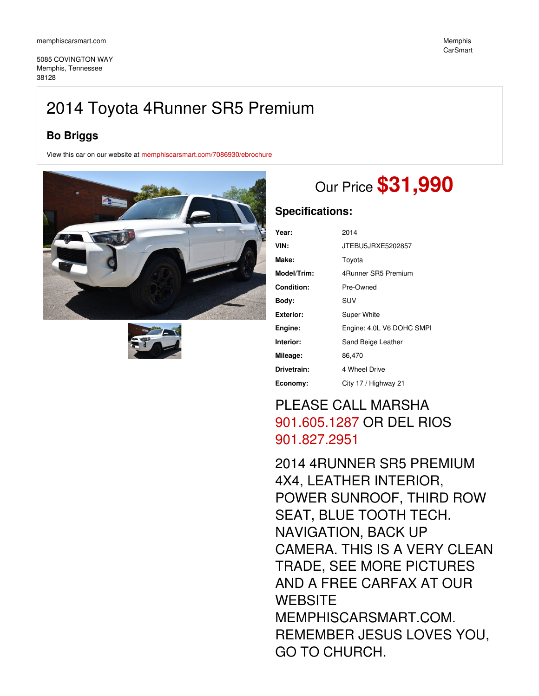5085 COVINGTON WAY Memphis, Tennessee 38128

### **Bo Briggs**

View this car on our website at [memphiscarsmart.com/7086930/ebrochure](https://memphiscarsmart.com/vehicle/7086930/2014-toyota-4runner-sr5-premium-memphis-tennessee-38128/7086930/ebrochure)





# Our Price **\$31,990**

### **Specifications:**

| Year:             | 2014                      |
|-------------------|---------------------------|
| VIN:              | JTEBU5JRXE5202857         |
| Make:             | Toyota                    |
| Model/Trim:       | 4Runner SR5 Premium       |
| <b>Condition:</b> | Pre-Owned                 |
| Body:             | SUV                       |
| <b>Exterior:</b>  | Super White               |
| Engine:           | Engine: 4.0L V6 DOHC SMPI |
| Interior:         | Sand Beige Leather        |
| Mileage:          | 86,470                    |
| Drivetrain:       | 4 Wheel Drive             |
| Economy:          | City 17 / Highway 21      |

## PLEASE CALL MARSHA [901.605.1287](tel:901.605.1287) OR DEL RIOS [901.827.2951](tel:901.827.2951)

2014 4RUNNER SR5 PREMIUM 4X4, LEATHER INTERIOR, POWER SUNROOF, THIRD ROW SEAT, BLUE TOOTH TECH. NAVIGATION, BACK UP CAMERA. THIS IS A VERY CLEAN TRADE, SEE MORE PICTURES AND A FREE CARFAX AT OUR **WEBSITE** MEMPHISCARSMART.COM. REMEMBER JESUS LOVES YOU, GO TO CHURCH.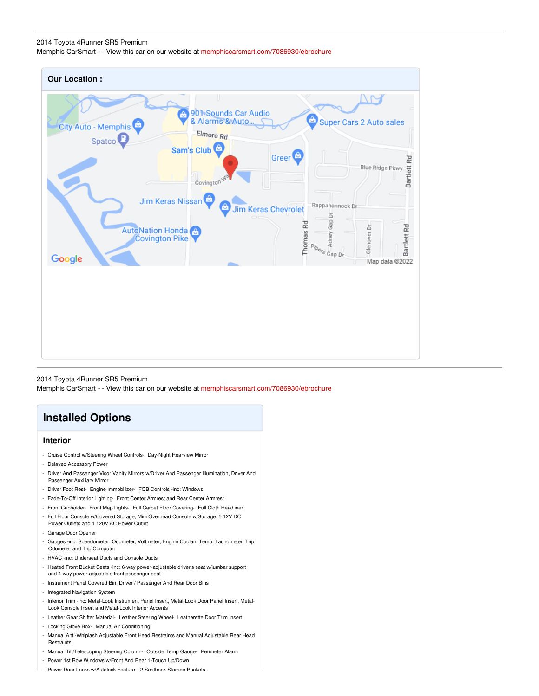### 2014 Toyota 4Runner SR5 Premium Memphis CarSmart - - View this car on our website at [memphiscarsmart.com/7086930/ebrochure](https://memphiscarsmart.com/vehicle/7086930/2014-toyota-4runner-sr5-premium-memphis-tennessee-38128/7086930/ebrochure)

| <b>Our Location:</b>                                                             |                                                                                             |
|----------------------------------------------------------------------------------|---------------------------------------------------------------------------------------------|
| 901 Sounds Car Audio<br>& Alarms & Auto<br>â<br>City Auto - Memphis<br>Elmore Rd | ô<br>Super Cars 2 Auto sales                                                                |
| Spatco <sup>1</sup><br>Sam's Club<br>Covington                                   | Greer <sup>®</sup><br>Bartlett Rd<br>Blue Ridge Pkwy                                        |
| Jim Keras Nissan                                                                 | Rappahannock Dr.<br><b>Jim Keras Chevrolet</b>                                              |
| <b>AutoNation Honda</b><br>Covington Pike<br>Google                              | Adney Gap Dr<br>Thomas Rd<br>Bartlett Rd<br>Glenover Dr<br>Pipers Gap Dr.<br>Map data @2022 |
|                                                                                  |                                                                                             |
|                                                                                  |                                                                                             |
|                                                                                  |                                                                                             |

2014 Toyota 4Runner SR5 Premium Memphis CarSmart - - View this car on our website at [memphiscarsmart.com/7086930/ebrochure](https://memphiscarsmart.com/vehicle/7086930/2014-toyota-4runner-sr5-premium-memphis-tennessee-38128/7086930/ebrochure)

### **Installed Options**

#### **Interior**

- Cruise Control w/Steering Wheel Controls- Day-Night Rearview Mirror
- Delayed Accessory Power
- Driver And Passenger Visor Vanity Mirrors w/Driver And Passenger Illumination, Driver And Passenger Auxiliary Mirror
- Driver Foot Rest- Engine Immobilizer- FOB Controls -inc: Windows
- Fade-To-Off Interior Lighting- Front Center Armrest and Rear Center Armrest
- Front Cupholder- Front Map Lights- Full Carpet Floor Covering- Full Cloth Headliner
- Full Floor Console w/Covered Storage, Mini Overhead Console w/Storage, 5 12V DC Power Outlets and 1 120V AC Power Outlet
- Garage Door Opener
- Gauges -inc: Speedometer, Odometer, Voltmeter, Engine Coolant Temp, Tachometer, Trip Odometer and Trip Computer
- HVAC -inc: Underseat Ducts and Console Ducts
- Heated Front Bucket Seats -inc: 6-way power-adjustable driver's seat w/lumbar support and 4-way power-adjustable front passenger seat
- Instrument Panel Covered Bin, Driver / Passenger And Rear Door Bins
- Integrated Navigation System
- Interior Trim -inc: Metal-Look Instrument Panel Insert, Metal-Look Door Panel Insert, Metal-Look Console Insert and Metal-Look Interior Accents
- Leather Gear Shifter Material- Leather Steering Wheel- Leatherette Door Trim Insert
- Locking Glove Box- Manual Air Conditioning
- Manual Anti-Whiplash Adjustable Front Head Restraints and Manual Adjustable Rear Head Restraints
- Manual Tilt/Telescoping Steering Column- Outside Temp Gauge- Perimeter Alarm
- Power 1st Row Windows w/Front And Rear 1-Touch Up/Down
- Power Door Locks w/Autolock Feature- 2 Seatback Storage Pockets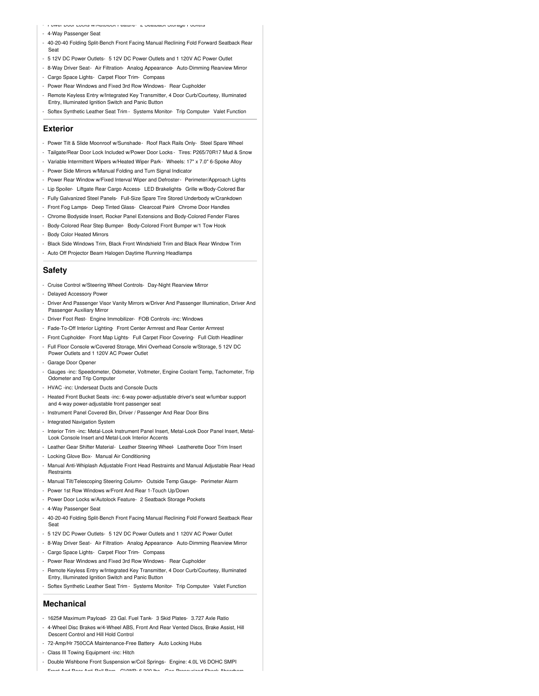- Power Door Locks w/Autolock Feature- 2 Seatback Storage Pockets

- 4-Way Passenger Seat
- 40-20-40 Folding Split-Bench Front Facing Manual Reclining Fold Forward Seatback Rear Seat
- 5 12V DC Power Outlets- 5 12V DC Power Outlets and 1 120V AC Power Outlet
- 8-Way Driver Seat- Air Filtration- Analog Appearance- Auto-Dimming Rearview Mirror
- Cargo Space Lights- Carpet Floor Trim- Compass
- Power Rear Windows and Fixed 3rd Row Windows- Rear Cupholder

- Remote Keyless Entry w/Integrated Key Transmitter, 4 Door Curb/Courtesy, Illuminated Entry, Illuminated Ignition Switch and Panic Button

- Softex Synthetic Leather Seat Trim - Systems Monitor- Trip Computer- Valet Function

#### **Exterior**

- Power Tilt & Slide Moonroof w/Sunshade- Roof Rack Rails Only- Steel Spare Wheel
- Tailgate/Rear Door Lock Included w/Power Door Locks Tires: P265/70R17 Mud & Snow
- Variable Intermittent Wipers w/Heated Wiper Park- Wheels: 17" x 7.0" 6-Spoke Alloy
- Power Side Mirrors w/Manual Folding and Turn Signal Indicator
- Power Rear Window w/Fixed Interval Wiper and Defroster- Perimeter/Approach Lights
- Lip Spoiler- Liftgate Rear Cargo Access- LED Brakelights- Grille w/Body-Colored Bar
- Fully Galvanized Steel Panels- Full-Size Spare Tire Stored Underbody w/Crankdown
- Front Fog Lamps- Deep Tinted Glass- Clearcoat Paint- Chrome Door Handles
- Chrome Bodyside Insert, Rocker Panel Extensions and Body-Colored Fender Flares
- Body-Colored Rear Step Bumper- Body-Colored Front Bumper w/1 Tow Hook
- Body Color Heated Mirrors
- Black Side Windows Trim, Black Front Windshield Trim and Black Rear Window Trim
- Auto Off Projector Beam Halogen Daytime Running Headlamps

#### **Safety**

- Cruise Control w/Steering Wheel Controls- Day-Night Rearview Mirror
- Delayed Accessory Power
- Driver And Passenger Visor Vanity Mirrors w/Driver And Passenger Illumination, Driver And Passenger Auxiliary Mirror
- Driver Foot Rest- Engine Immobilizer- FOB Controls -inc: Windows
- Fade-To-Off Interior Lighting- Front Center Armrest and Rear Center Armrest
- Front Cupholder- Front Map Lights- Full Carpet Floor Covering- Full Cloth Headliner
- Full Floor Console w/Covered Storage, Mini Overhead Console w/Storage, 5 12V DC Power Outlets and 1 120V AC Power Outlet
- Garage Door Opener
- Gauges -inc: Speedometer, Odometer, Voltmeter, Engine Coolant Temp, Tachometer, Trip Odometer and Trip Computer
- HVAC -inc: Underseat Ducts and Console Ducts
- Heated Front Bucket Seats -inc: 6-way power-adjustable driver's seat w/lumbar support and 4-way power-adjustable front passenger seat
- Instrument Panel Covered Bin, Driver / Passenger And Rear Door Bins
- Integrated Navigation System
- Interior Trim -inc: Metal-Look Instrument Panel Insert, Metal-Look Door Panel Insert, Metal-Look Console Insert and Metal-Look Interior Accents
- Leather Gear Shifter Material- Leather Steering Wheel- Leatherette Door Trim Insert
- Locking Glove Box- Manual Air Conditioning
- Manual Anti-Whiplash Adjustable Front Head Restraints and Manual Adjustable Rear Head **Restraints**
- Manual Tilt/Telescoping Steering Column- Outside Temp Gauge- Perimeter Alarm
- Power 1st Row Windows w/Front And Rear 1-Touch Up/Down
- Power Door Locks w/Autolock Feature- 2 Seatback Storage Pockets
- 4-Way Passenger Seat
- 40-20-40 Folding Split-Bench Front Facing Manual Reclining Fold Forward Seatback Rear Seat
- 5 12V DC Power Outlets- 5 12V DC Power Outlets and 1 120V AC Power Outlet
- 8-Way Driver Seat- Air Filtration- Analog Appearance- Auto-Dimming Rearview Mirror
- Cargo Space Lights- Carpet Floor Trim- Compass
- Power Rear Windows and Fixed 3rd Row Windows- Rear Cupholder
- Remote Keyless Entry w/Integrated Key Transmitter, 4 Door Curb/Courtesy, Illuminated Entry, Illuminated Ignition Switch and Panic Button
- Softex Synthetic Leather Seat Trim Systems Monitor- Trip Computer- Valet Function

### **Mechanical**

- 1625# Maximum Payload- 23 Gal. Fuel Tank- 3 Skid Plates- 3.727 Axle Ratio
- 4-Wheel Disc Brakes w/4-Wheel ABS, Front And Rear Vented Discs, Brake Assist, Hill Descent Control and Hill Hold Control
- 72-Amp/Hr 750CCA Maintenance-Free Battery- Auto Locking Hubs
- Class III Towing Equipment -inc: Hitch
- Double Wishbone Front Suspension w/Coil Springs- Engine: 4.0L V6 DOHC SMPI

- Front And Rear Anti-Roll Bars- GVWR: 6,300 lbs- Gas-Pressurized Shock Absorbers